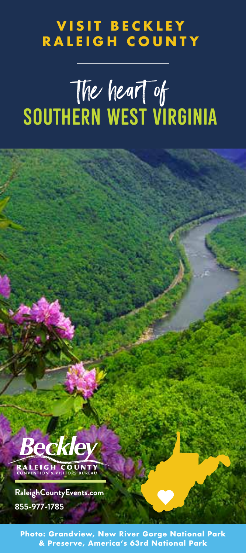# LEIGH COUN **VISIT BECKLEY RALEIGH COUNTY**

# The heart of SOUTHERN WEST VIRGINIA the heart of



**Home to America's NEWEST National Park & Preserve, America's 63rd National Park Photo: Grandview, New River Gorge National Park**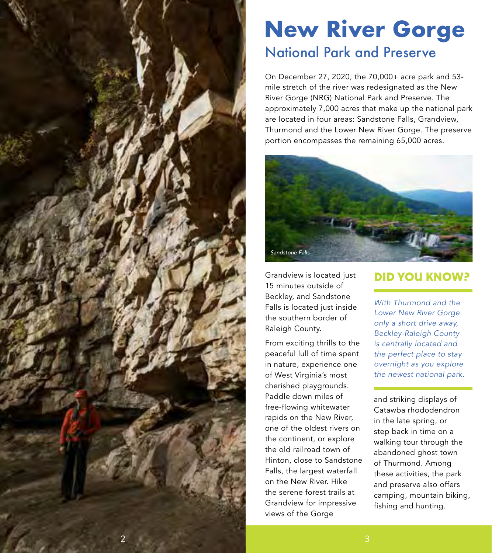

# **New River Gorge** National Park and Preserve

On December 27, 2020, the 70,000+ acre park and 53 mile stretch of the river was redesignated as the New River Gorge (NRG) National Park and Preserve. The approximately 7,000 acres that make up the national park are located in four areas: Sandstone Falls, Grandview, Thurmond and the Lower New River Gorge. The preserve portion encompasses the remaining 65,000 acres.



Grandview is located just 15 minutes outside of Beckley, and Sandstone Falls is located just inside the southern border of Raleigh County.

From exciting thrills to the peaceful lull of time spent in nature, experience one of West Virginia's most cherished playgrounds. Paddle down miles of free-flowing whitewater rapids on the New River, one of the oldest rivers on the continent, or explore the old railroad town of Hinton, close to Sandstone Falls, the largest waterfall on the New River. Hike the serene forest trails at Grandview for impressive views of the Gorge

# **DID YOU KNOW?**

*With Thurmond and the Lower New River Gorge only a short drive away, Beckley-Raleigh County is centrally located and the perfect place to stay overnight as you explore the newest national park.* 

and striking displays of Catawba rhododendron in the late spring, or step back in time on a walking tour through the abandoned ghost town of Thurmond. Among these activities, the park and preserve also offers camping, mountain biking, fishing and hunting.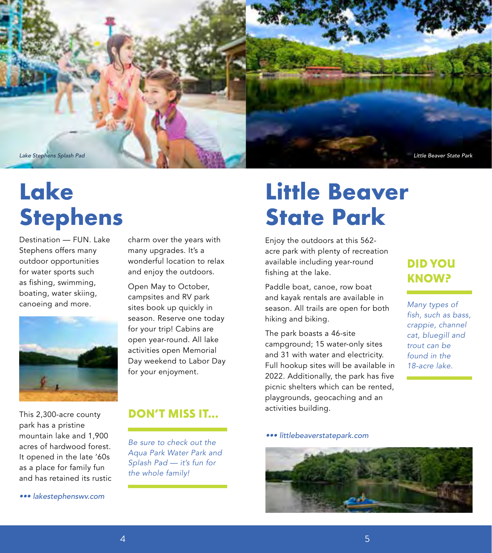

# **Lake Stephens**

Destination — FUN. Lake Stephens offers many outdoor opportunities for water sports such as fishing, swimming, boating, water skiing, canoeing and more.



This 2,300-acre county park has a pristine mountain lake and 1,900 acres of hardwood forest. It opened in the late '60s as a place for family fun and has retained its rustic

*••• lakestephenswv.com*

charm over the years with many upgrades. It's a wonderful location to relax and enjoy the outdoors.

Open May to October, campsites and RV park sites book up quickly in season. Reserve one today for your trip! Cabins are open year-round. All lake activities open Memorial Day weekend to Labor Day for your enjoyment.

### **DON'T MISS IT...**

*Be sure to check out the Aqua Park Water Park and Splash Pad — it's fun for the whole family!*

# **Little Beaver State Park**

Enjoy the outdoors at this 562 acre park with plenty of recreation available including year-round fishing at the lake.

Paddle boat, canoe, row boat and kayak rentals are available in season. All trails are open for both hiking and biking.

The park boasts a 46-site campground; 15 water-only sites and 31 with water and electricity. Full hookup sites will be available in 2022. Additionally, the park has five picnic shelters which can be rented, playgrounds, geocaching and an activities building.

# **DID YOU KNOW?**

*Many types of fish, such as bass, crappie, channel cat, bluegill and trout can be found in the 18-acre lake.* 

*••• littlebeaverstatepark.com*

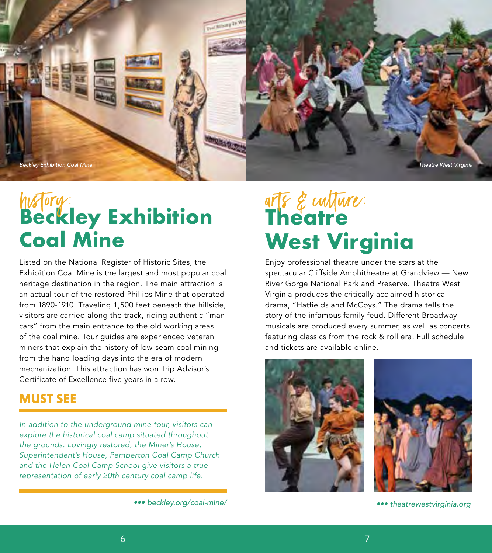

# **Beckley Exhibition Coal Mine** history: arts & culture:

Listed on the National Register of Historic Sites, the Exhibition Coal Mine is the largest and most popular coal heritage destination in the region. The main attraction is an actual tour of the restored Phillips Mine that operated from 1890-1910. Traveling 1,500 feet beneath the hillside, visitors are carried along the track, riding authentic "man cars" from the main entrance to the old working areas of the coal mine. Tour guides are experienced veteran miners that explain the history of low-seam coal mining from the hand loading days into the era of modern mechanization. This attraction has won Trip Advisor's Certificate of Excellence five years in a row.

# **MUST SEE**

*In addition to the underground mine tour, visitors can explore the historical coal camp situated throughout the grounds. Lovingly restored, the Miner's House, Superintendent's House, Pemberton Coal Camp Church and the Helen Coal Camp School give visitors a true representation of early 20th century coal camp life.* 

# arts & cutture: **West Virginia**

Enjoy professional theatre under the stars at the spectacular Cliffside Amphitheatre at Grandview — New River Gorge National Park and Preserve. Theatre West Virginia produces the critically acclaimed historical drama, "Hatfields and McCoys." The drama tells the story of the infamous family feud. Different Broadway musicals are produced every summer, as well as concerts featuring classics from the rock & roll era. Full schedule and tickets are available online.



```
••• theatrewestvirginia.org
```
*<sup>•••</sup> beckley.org/coal-mine/*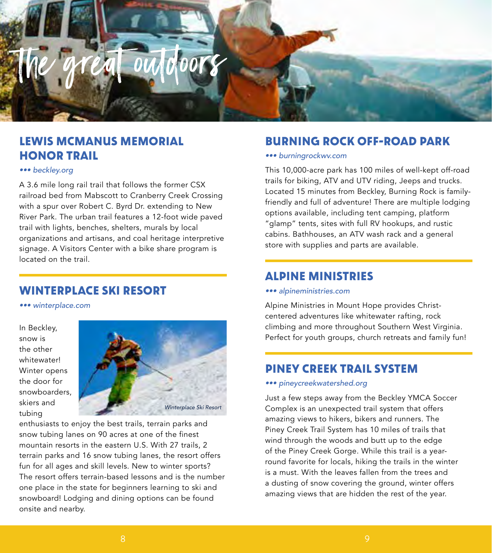

# **LEWIS MCMANUS MEMORIAL HONOR TRAIL**

#### *••• beckley.org*

A 3.6 mile long rail trail that follows the former CSX railroad bed from Mabscott to Cranberry Creek Crossing with a spur over Robert C. Byrd Dr. extending to New River Park. The urban trail features a 12-foot wide paved trail with lights, benches, shelters, murals by local organizations and artisans, and coal heritage interpretive signage. A Visitors Center with a bike share program is located on the trail.

# **WINTERPLACE SKI RESORT**

*••• winterplace.com*

In Beckley, snow is the other whitewater! Winter opens the door for snowboarders, skiers and tubing



enthusiasts to enjoy the best trails, terrain parks and snow tubing lanes on 90 acres at one of the finest mountain resorts in the eastern U.S. With 27 trails, 2 terrain parks and 16 snow tubing lanes, the resort offers fun for all ages and skill levels. New to winter sports? The resort offers terrain-based lessons and is the number one place in the state for beginners learning to ski and snowboard! Lodging and dining options can be found onsite and nearby.

### **BURNING ROCK OFF-ROAD PARK**

#### *••• burningrockwv.com*

This 10,000-acre park has 100 miles of well-kept off-road trails for biking, ATV and UTV riding, Jeeps and trucks. Located 15 minutes from Beckley, Burning Rock is familyfriendly and full of adventure! There are multiple lodging options available, including tent camping, platform "glamp" tents, sites with full RV hookups, and rustic cabins. Bathhouses, an ATV wash rack and a general store with supplies and parts are available.

### **ALPINE MINISTRIES**

#### *••• alpineministries.com*

Alpine Ministries in Mount Hope provides Christcentered adventures like whitewater rafting, rock climbing and more throughout Southern West Virginia. Perfect for youth groups, church retreats and family fun!

### **PINEY CREEK TRAIL SYSTEM**

#### *••• pineycreekwatershed.org*

Just a few steps away from the Beckley YMCA Soccer Complex is an unexpected trail system that offers amazing views to hikers, bikers and runners. The Piney Creek Trail System has 10 miles of trails that wind through the woods and butt up to the edge of the Piney Creek Gorge. While this trail is a yearround favorite for locals, hiking the trails in the winter is a must. With the leaves fallen from the trees and a dusting of snow covering the ground, winter offers amazing views that are hidden the rest of the year.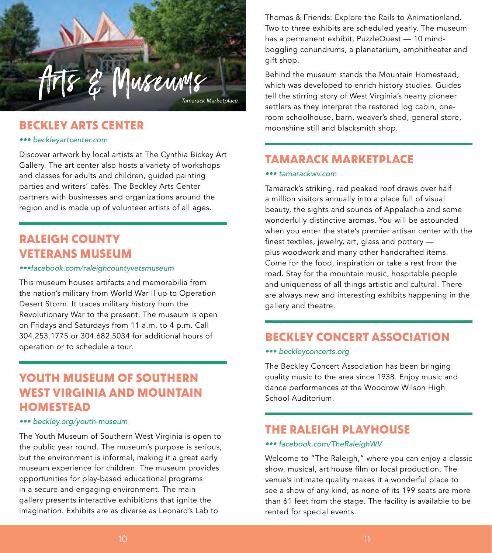

# **BECKLEY ARTS CENTER**

#### *••• beckleyartcenter.com*

Discover artwork by local artists at The Cynthia Bickey Art Gallery. The art center also hosts a variety of workshops and classes for adults and children, guided painting parties and writers' cafès. The Beckley Arts Center partners with businesses and organizations around the region and is made up of volunteer artists of all ages.

# **RALEIGH COUNTY VETERANS MUSEUM**

#### *•••facebook.com/raleighcountyvetsmuseum*

This museum houses artifacts and memorabilia from the nation's military from World War II up to Operation Desert Storm. It traces military history from the Revolutionary War to the present. The museum is open on Fridays and Saturdays from 11 a.m. to 4 p.m. Call 304.253.1775 or 304.682.5034 for additional hours of operation or to schedule a tour.

# **YOUTH MUSEUM OF SOUTHERN WEST VIRGINIA AND MOUNTAIN HOMESTEAD**

#### *••• beckley.org/youth-museum*

The Youth Museum of Southern West Virginia is open to the public year round. The museum's purpose is serious, but the environment is informal, making it a great early museum experience for children. The museum provides opportunities for play-based educational programs in a secure and engaging environment. The main gallery presents interactive exhibitions that ignite the imagination. Exhibits are as diverse as Leonard's Lab to

Thomas & Friends: Explore the Rails to Animationland. Two to three exhibits are scheduled yearly. The museum has a permanent exhibit, PuzzleQuest — 10 mindboggling conundrums, a planetarium, amphitheater and gift shop.

Behind the museum stands the Mountain Homestead, which was developed to enrich history studies. Guides tell the stirring story of West Virginia's hearty pioneer settlers as they interpret the restored log cabin, oneroom schoolhouse, barn, weaver's shed, general store, moonshine still and blacksmith shop.

# **TAMARACK MARKETPLACE**

#### *••• tamarackwv.com*

Tamarack's striking, red peaked roof draws over half a million visitors annually into a place full of visual beauty, the sights and sounds of Appalachia and some wonderfully distinctive aromas. You will be astounded when you enter the state's premier artisan center with the finest textiles, jewelry, art, glass and pottery plus woodwork and many other handcrafted items. Come for the food, inspiration or take a rest from the road. Stay for the mountain music, hospitable people and uniqueness of all things artistic and cultural. There are always new and interesting exhibits happening in the gallery and theatre.

# **BECKLEY CONCERT ASSOCIATION**

#### *••• beckleyconcerts.org*

The Beckley Concert Association has been bringing quality music to the area since 1938. Enjoy music and dance performances at the Woodrow Wilson High School Auditorium.

# **THE RALEIGH PLAYHOUSE**

#### *••• facebook.com/TheRaleighWV*

Welcome to "The Raleigh," where you can enjoy a classic show, musical, art house film or local production. The venue's intimate quality makes it a wonderful place to see a show of any kind, as none of its 199 seats are more than 61 feet from the stage. The facility is available to be rented for special events.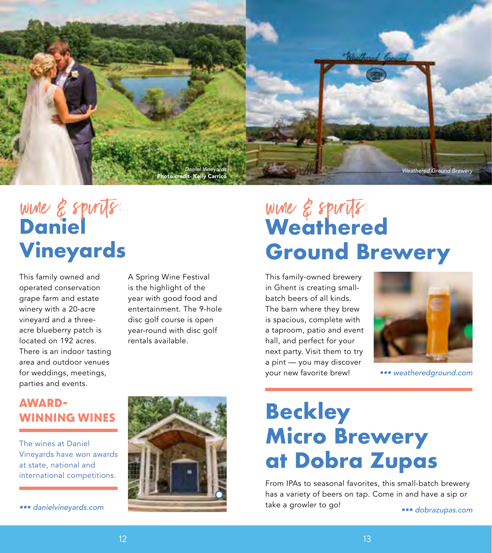

# wine & spirits **Vineyards** wine & spirits: wine & spirits:

This family owned and operated conservation grape farm and estate winery with a 20-acre vineyard and a threeacre blueberry patch is located on 192 acres. There is an indoor tasting area and outdoor venues for weddings, meetings, parties and events.

A Spring Wine Festival is the highlight of the year with good food and entertainment. The 9-hole disc golf course is open year-round with disc golf rentals available.

# **Weathered Ground Brewery**

This family-owned brewery in Ghent is creating smallbatch beers of all kinds. The barn where they brew is spacious, complete with a taproom, patio and event hall, and perfect for your next party. Visit them to try a pint — you may discover your new favorite brew!



*••• weatheredground.com*

# **AWARD-WINNING WINES**

The wines at Daniel Vineyards have won awards at state, national and international competitions.

*••• danielvineyards.com*



# **Beckley Micro Brewery at Dobra Zupas**

From IPAs to seasonal favorites, this small-batch brewery has a variety of beers on tap. Come in and have a sip or take a growler to go!

*••• dobrazupas.com*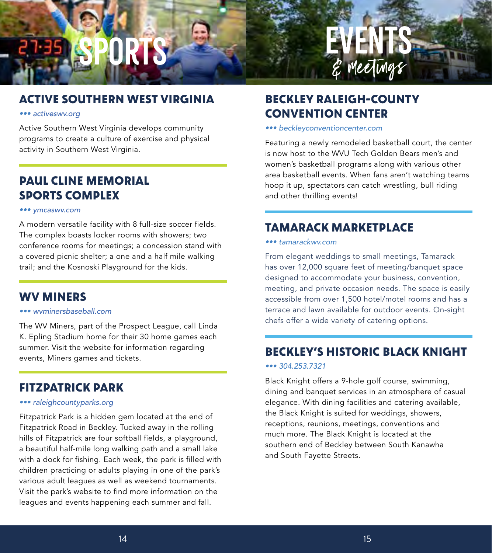# Sports

# **ACTIVE SOUTHERN WEST VIRGINIA**

#### *••• activeswv.org*

Active Southern West Virginia develops community programs to create a culture of exercise and physical activity in Southern West Virginia.

# **PAUL CLINE MEMORIAL SPORTS COMPLEX**

#### *••• ymcaswv.com*

A modern versatile facility with 8 full-size soccer fields. The complex boasts locker rooms with showers; two conference rooms for meetings; a concession stand with a covered picnic shelter; a one and a half mile walking trail; and the Kosnoski Playground for the kids.

# **WV MINERS**

#### *••• wvminersbaseball.com*

The WV Miners, part of the Prospect League, call Linda K. Epling Stadium home for their 30 home games each summer. Visit the website for information regarding events, Miners games and tickets.

# **FITZPATRICK PARK**

#### *••• raleighcountyparks.org*

Fitzpatrick Park is a hidden gem located at the end of Fitzpatrick Road in Beckley. Tucked away in the rolling hills of Fitzpatrick are four softball fields, a playground, a beautiful half-mile long walking path and a small lake with a dock for fishing. Each week, the park is filled with children practicing or adults playing in one of the park's various adult leagues as well as weekend tournaments. Visit the park's website to find more information on the leagues and events happening each summer and fall.

# **BECKLEY RALEIGH-COUNTY CONVENTION CENTER**

#### *••• beckleyconventioncenter.com*

Featuring a newly remodeled basketball court, the center is now host to the WVU Tech Golden Bears men's and women's basketball programs along with various other area basketball events. When fans aren't watching teams hoop it up, spectators can catch wrestling, bull riding and other thrilling events!

**EVENTS** 

& meetings

# **TAMARACK MARKETPLACE**

#### *••• tamarackwv.com*

From elegant weddings to small meetings, Tamarack has over 12,000 square feet of meeting/banquet space designed to accommodate your business, convention, meeting, and private occasion needs. The space is easily accessible from over 1,500 hotel/motel rooms and has a terrace and lawn available for outdoor events. On-sight chefs offer a wide variety of catering options.

# **BECKLEY'S HISTORIC BLACK KNIGHT**

#### *••• 304.253.7321*

Black Knight offers a 9-hole golf course, swimming, dining and banquet services in an atmosphere of casual elegance. With dining facilities and catering available, the Black Knight is suited for weddings, showers, receptions, reunions, meetings, conventions and much more. The Black Knight is located at the southern end of Beckley between South Kanawha and South Fayette Streets.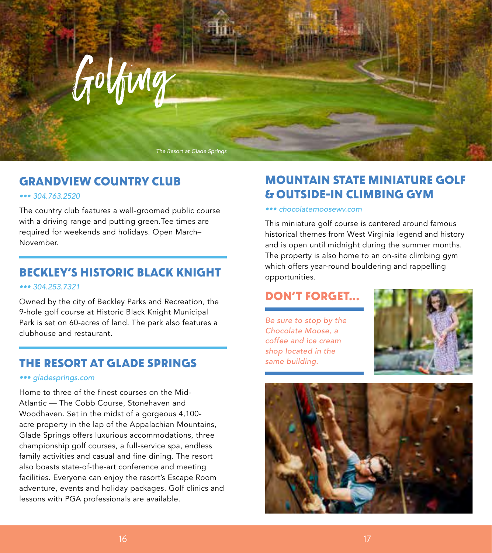

*The Resort at Glade Springs*

# **GRANDVIEW COUNTRY CLUB**

#### *••• 304.763.2520*

The country club features a well-groomed public course with a driving range and putting green.Tee times are required for weekends and holidays. Open March– November.

# **BECKLEY'S HISTORIC BLACK KNIGHT**

#### *••• 304.253.7321*

Owned by the city of Beckley Parks and Recreation, the 9-hole golf course at Historic Black Knight Municipal Park is set on 60-acres of land. The park also features a clubhouse and restaurant.

# **THE RESORT AT GLADE SPRINGS**

#### *••• gladesprings.com*

Home to three of the finest courses on the Mid-Atlantic — The Cobb Course, Stonehaven and Woodhaven. Set in the midst of a gorgeous 4,100 acre property in the lap of the Appalachian Mountains, Glade Springs offers luxurious accommodations, three championship golf courses, a full-service spa, endless family activities and casual and fine dining. The resort also boasts state-of-the-art conference and meeting facilities. Everyone can enjoy the resort's Escape Room adventure, events and holiday packages. Golf clinics and lessons with PGA professionals are available.

# **MOUNTAIN STATE MINIATURE GOLF & OUTSIDE-IN CLIMBING GYM**

#### *••• chocolatemoosewv.com*

This miniature golf course is centered around famous historical themes from West Virginia legend and history and is open until midnight during the summer months. The property is also home to an on-site climbing gym which offers year-round bouldering and rappelling opportunities.

# **DON'T FORGET...**

*Be sure to stop by the Chocolate Moose, a coffee and ice cream shop located in the same building.*



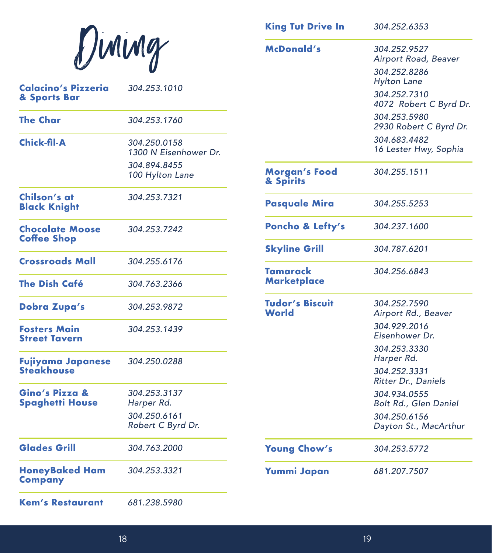|                                             |                                       | <b>King Tut Drive In</b>          | 304.252.6353                           |
|---------------------------------------------|---------------------------------------|-----------------------------------|----------------------------------------|
|                                             | Diming                                | <b>McDonald's</b>                 | 304.252.9527<br>Airport Road, Beaver   |
|                                             |                                       |                                   | 304.252.8286<br><b>Hylton Lane</b>     |
| <b>Calacino's Pizzeria</b><br>& Sports Bar  | 304.253.1010                          |                                   | 304.252.7310<br>4072 Robert C Byrd Dr. |
| <b>The Char</b>                             | 304.253.1760                          |                                   | 304.253.5980<br>2930 Robert C Byrd Dr. |
| <b>Chick-fil-A</b>                          | 304.250.0158<br>1300 N Eisenhower Dr. |                                   | 304.683.4482<br>16 Lester Hwy, Sophia  |
|                                             | 304.894.8455<br>100 Hylton Lane       | <b>Morgan's Food</b><br>& Spirits | 304.255.1511                           |
| Chilson's at<br><b>Black Knight</b>         | 304.253.7321                          | <b>Pasquale Mira</b>              | 304.255.5253                           |
| <b>Chocolate Moose</b>                      | 304.253.7242                          | Poncho & Lefty's                  | 304.237.1600                           |
| <b>Coffee Shop</b>                          |                                       | <b>Skyline Grill</b>              | 304.787.6201                           |
| <b>Crossroads Mall</b>                      | 304.255.6176                          | <b>Tamarack</b>                   | 304.256.6843                           |
| <b>The Dish Café</b>                        | 304.763.2366                          | <b>Marketplace</b>                |                                        |
| <b>Dobra Zupa's</b>                         | 304.253.9872                          | <b>Tudor's Biscuit</b><br>World   | 304.252.7590<br>Airport Rd., Beaver    |
| <b>Fosters Main</b><br><b>Street Tavern</b> | 304.253.1439                          |                                   | 304.929.2016<br>Eisenhower Dr.         |
| Fujiyama Japanese                           | 304.250.0288                          |                                   | 304.253.3330<br>Harper Rd.             |
| <b>Steakhouse</b>                           |                                       |                                   | 304.252.3331<br>Ritter Dr., Daniels    |
| Gino's Pizza &<br>Spaghetti House           | 304.253.3137<br>Harper Rd.            |                                   | 304.934.0555<br>Bolt Rd., Glen Daniel  |
|                                             | 304.250.6161<br>Robert C Byrd Dr.     |                                   | 304.250.6156<br>Dayton St., MacArthur  |
| <b>Glades Grill</b>                         | 304.763.2000                          | <b>Young Chow's</b>               | 304.253.5772                           |
| <b>HoneyBaked Ham</b><br><b>Company</b>     | 304.253.3321                          | <b>Yummi Japan</b>                | 681.207.7507                           |
| <b>Kem's Restaurant</b>                     | 681.238.5980                          |                                   |                                        |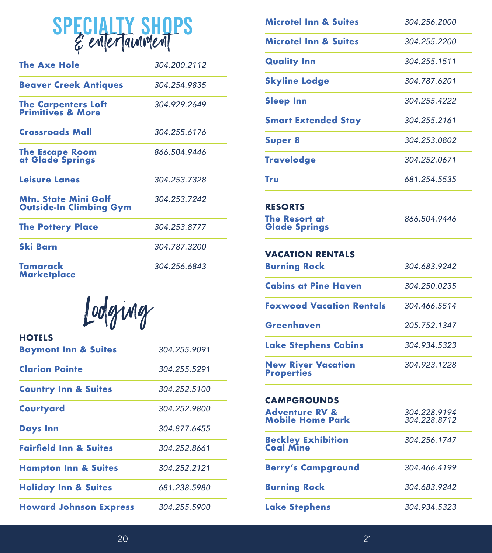|  |  |  | <b>SPECIALTY SHOPS</b> |  |
|--|--|--|------------------------|--|
|  |  |  |                        |  |

| <b>The Axe Hole</b>                                           | 304.200.2112 |
|---------------------------------------------------------------|--------------|
| <b>Beaver Creek Antiques</b>                                  | 304.254.9835 |
| <b>The Carpenters Loft<br/>Primitives &amp; More</b>          | 304.929.2649 |
| <b>Crossroads Mall</b>                                        | 304.255.6176 |
| The Escape Room<br>at Glade Springs                           | 866.504.9446 |
| <b>Leisure Lanes</b>                                          | 304.253.7328 |
| <b>Mtn. State Mini Golf</b><br><b>Outside-In Climbing Gym</b> | 304.253.7242 |
| <b>The Pottery Place</b>                                      | 304.253.8777 |
| <b>Ski Barn</b>                                               | 304.787.3200 |
| Tamarack<br><b>Marketplace</b>                                | 304.256.6843 |

Lodging

| <b>HOTELS</b><br><b>Baymont Inn &amp; Suites</b> | 304.255.9091 |
|--------------------------------------------------|--------------|
| <b>Clarion Pointe</b>                            | 304.255.5291 |
| <b>Country Inn &amp; Suites</b>                  | 304.252.5100 |
| <b>Courtyard</b>                                 | 304.252.9800 |
| <b>Days Inn</b>                                  | 304.877.6455 |
| <b>Fairfield Inn &amp; Suites</b>                | 304.252.8661 |
| <b>Hampton Inn &amp; Suites</b>                  | 304.252.2121 |
| <b>Holiday Inn &amp; Suites</b>                  | 681.238.5980 |
| <b>Howard Johnson Express</b>                    | 304.255.5900 |

| Microtel Inn & Suites                                | 304.256.2000                 |
|------------------------------------------------------|------------------------------|
| <b>Microtel Inn &amp; Suites</b>                     | 304.255.2200                 |
| <b>Quality Inn</b>                                   | 304.255.1511                 |
| <b>Skyline Lodge</b>                                 | 304.787.6201                 |
| <b>Sleep Inn</b>                                     | 304.255.4222                 |
| <b>Smart Extended Stay</b>                           | 304.255.2161                 |
| <b>Super 8</b>                                       | 304.253.0802                 |
| <b>Travelodge</b>                                    | 304.252.0671                 |
| Tru                                                  | 681.254.5535                 |
| <b>RESORTS</b>                                       |                              |
| <b>The Resort at</b><br><b>Glade Springs</b>         | 866.504.9446                 |
| <b>VACATION RENTALS</b>                              |                              |
| <b>Burning Rock</b>                                  | 304.683.9242                 |
| <b>Cabins at Pine Haven</b>                          | 304.250.0235                 |
| <b>Foxwood Vacation Rentals</b>                      | 304.466.5514                 |
| <b>Greenhaven</b>                                    | 205.752.1347                 |
| <b>Lake Stephens Cabins</b>                          | 304.934.5323                 |
| <b>New River Vacation</b><br><b>Properties</b>       | 304.923.1228                 |
| CAMPGROUNDS                                          |                              |
| <b>Adventure RV &amp;</b><br><b>Mobile Home Park</b> | 304.228.9194<br>304.228.8712 |
| <b>Beckley Exhibition</b><br>Coal Mine               | 304.256.1747                 |
| <b>Berry's Campground</b>                            | 304.466.4199                 |
| <b>Burning Rock</b>                                  | 304.683.9242                 |
| <b>Lake Stephens</b>                                 | 304.934.5323                 |
|                                                      |                              |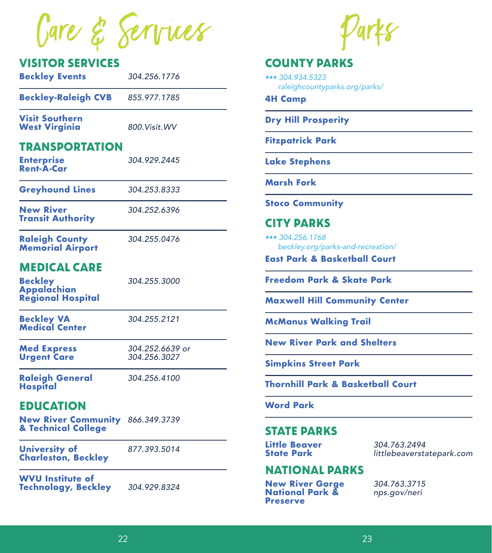Gare & Services

### **VISITOR SERVICES**

| <b>Beckley Events</b>      | 304.256.1776 |
|----------------------------|--------------|
| <b>Beckley-Raleigh CVB</b> | 855.977.1785 |
|                            |              |

**Visit Southern West Virginia** *800.Visit.WV*

# **TRANSPORTATION**

| <b>Enterprise</b> | 304.929.2445 |
|-------------------|--------------|
| <b>Rent-A-Car</b> |              |

**Greyhound Lines** *304.253.8333*

**New River** *304.252.6396* **Transit Authority** 

**Raleigh County** *304.255.0476* **Memorial Airport** 

# **MEDICAL CARE**

**Beckley** *304.255.3000* **Appalachian Regional Hospital** 

**Beckley VA** *304.255.2121* **Medical Center** 

**Urgent Care** 

**Med Express** *304.252.6639 or*

**Raleigh General** *304.256.4100* **Hospital** 

# **EDUCATION**

**New River Community** *866.349.3739* **& Technical College**

**University of** *877.393.5014* **Charleston, Beckley** 

**WVU Institute of Technology, Beckley** *304.929.8324*

### **COUNTY PARKS**

*••• 304.934.5323 raleighcountyparks.org/parks/*

**4H Camp**

**Dry Hill Prosperity**

**Fitzpatrick Park**

**Lake Stephens**

**Marsh Fork**

**Stoco Community**

# **CITY PARKS**

*••• 304.256.1768 beckley.org/parks-and-recreation/*

**East Park & Basketball Court**

**Freedom Park & Skate Park**

**Maxwell Hill Community Center**

**McManus Walking Trail**

**New River Park and Shelters**

**Simpkins Street Park**

**Thornhill Park & Basketball Court**

**Word Park**

### **STATE PARKS**

**Little Beaver** *304.763.2494*

**State Park** *littlebeaverstatepark.com*

### **NATIONAL PARKS**

**New River Gorge** *304.763.3715* **National Park &** *nps.gov/neri* **Preserve**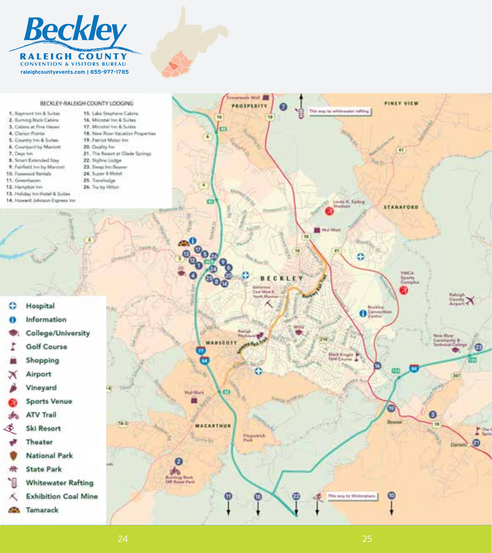



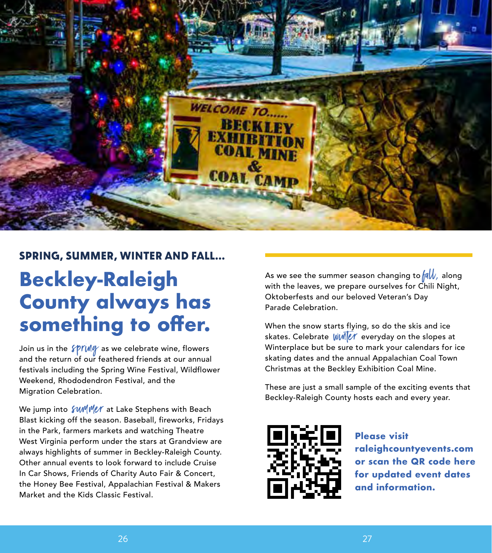

# **SPRING, SUMMER, WINTER AND FALL...**

# **Beckley-Raleigh County always has something to offer.**

Join us in the *SPIVMG* as we celebrate wine, flowers and the return of our feathered friends at our annual festivals including the Spring Wine Festival, Wildflower Weekend, Rhododendron Festival, and the Migration Celebration.

We jump into  $\frac{\partial \mathcal{W}}{\partial \rho}$  at Lake Stephens with Beach Blast kicking off the season. Baseball, fireworks, Fridays in the Park, farmers markets and watching Theatre West Virginia perform under the stars at Grandview are always highlights of summer in Beckley-Raleigh County. Other annual events to look forward to include Cruise In Car Shows, Friends of Charity Auto Fair & Concert, the Honey Bee Festival, Appalachian Festival & Makers Market and the Kids Classic Festival.

As we see the summer season changing to  $\sqrt{a}W$ , along with the leaves, we prepare ourselves for Chili Night, Oktoberfests and our beloved Veteran's Day Parade Celebration.

When the snow starts flying, so do the skis and ice skates. Celebrate  $\frac{1}{\|M\|}$  everyday on the slopes at Winterplace but be sure to mark your calendars for ice skating dates and the annual Appalachian Coal Town Christmas at the Beckley Exhibition Coal Mine.

These are just a small sample of the exciting events that Beckley-Raleigh County hosts each and every year.



**Please visit raleighcountyevents.com or scan the QR code here for updated event dates and information.**